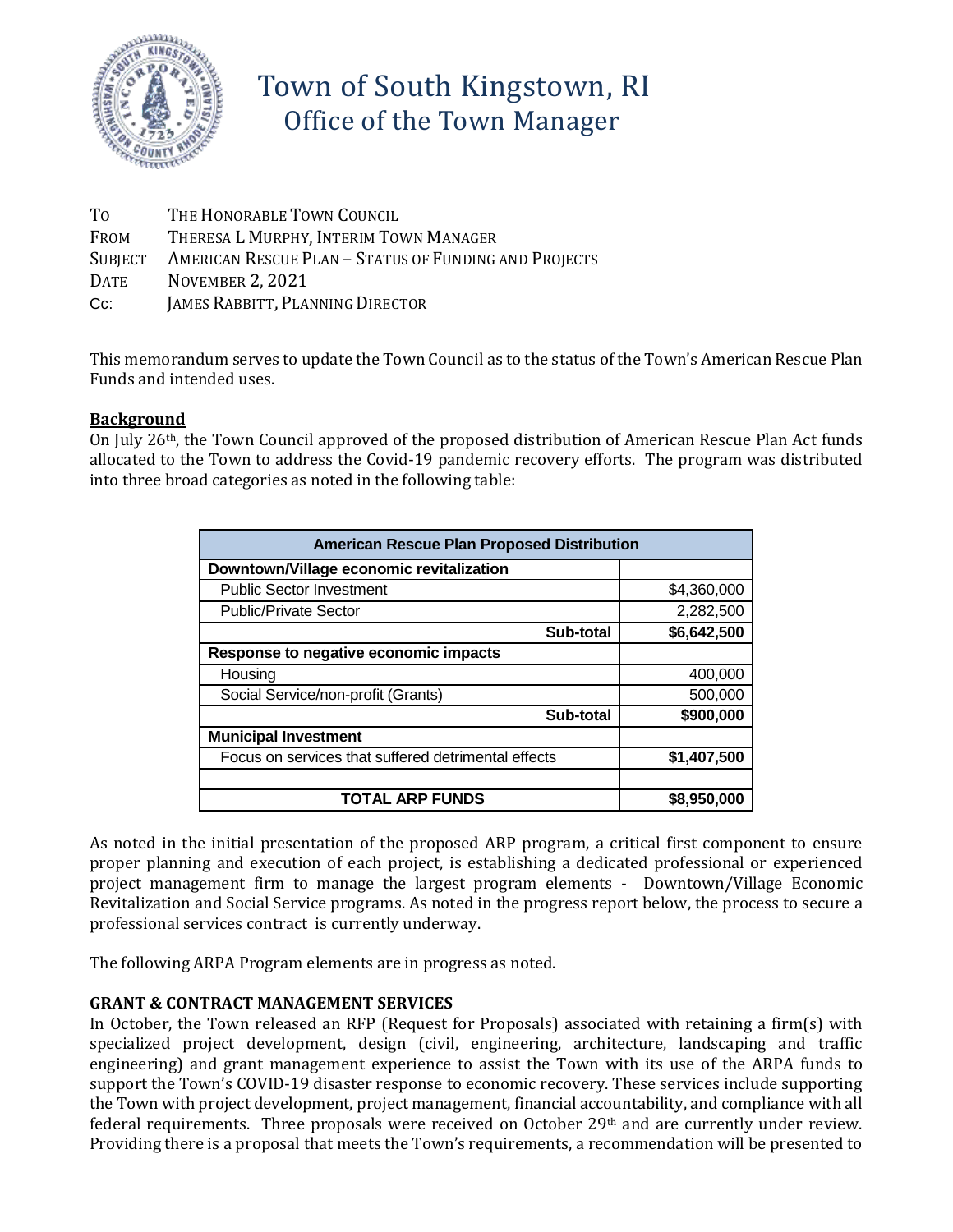

# Town of South Kingstown, RI Office of the Town Manager

| Tо      | THE HONORABLE TOWN COUNCIL                            |
|---------|-------------------------------------------------------|
| FROM    | THERESA L MURPHY, INTERIM TOWN MANAGER                |
| SUBJECT | AMERICAN RESCUE PLAN - STATUS OF FUNDING AND PROJECTS |
| DATE    | <b>NOVEMBER 2, 2021</b>                               |
| Cc:     | JAMES RABBITT, PLANNING DIRECTOR                      |
|         |                                                       |

This memorandum serves to update the Town Council as to the status of the Town's American Rescue Plan Funds and intended uses.

## **Background**

On July 26th, the Town Council approved of the proposed distribution of American Rescue Plan Act funds allocated to the Town to address the Covid-19 pandemic recovery efforts. The program was distributed into three broad categories as noted in the following table:

| <b>American Rescue Plan Proposed Distribution</b>   |             |  |
|-----------------------------------------------------|-------------|--|
| Downtown/Village economic revitalization            |             |  |
| <b>Public Sector Investment</b>                     | \$4,360,000 |  |
| <b>Public/Private Sector</b>                        | 2,282,500   |  |
| Sub-total                                           | \$6,642,500 |  |
| Response to negative economic impacts               |             |  |
| Housing                                             | 400,000     |  |
| Social Service/non-profit (Grants)                  | 500,000     |  |
| Sub-total                                           | \$900,000   |  |
| <b>Municipal Investment</b>                         |             |  |
| Focus on services that suffered detrimental effects | \$1,407,500 |  |
|                                                     |             |  |
| <b>TOTAL ARP FUNDS</b>                              | \$8,950,000 |  |

As noted in the initial presentation of the proposed ARP program, a critical first component to ensure proper planning and execution of each project, is establishing a dedicated professional or experienced project management firm to manage the largest program elements - Downtown/Village Economic Revitalization and Social Service programs. As noted in the progress report below, the process to secure a professional services contract is currently underway.

The following ARPA Program elements are in progress as noted.

## **GRANT & CONTRACT MANAGEMENT SERVICES**

In October, the Town released an RFP (Request for Proposals) associated with retaining a firm(s) with specialized project development, design (civil, engineering, architecture, landscaping and traffic engineering) and grant management experience to assist the Town with its use of the ARPA funds to support the Town's COVID-19 disaster response to economic recovery. These services include supporting the Town with project development, project management, financial accountability, and compliance with all federal requirements. Three proposals were received on October 29th and are currently under review. Providing there is a proposal that meets the Town's requirements, a recommendation will be presented to